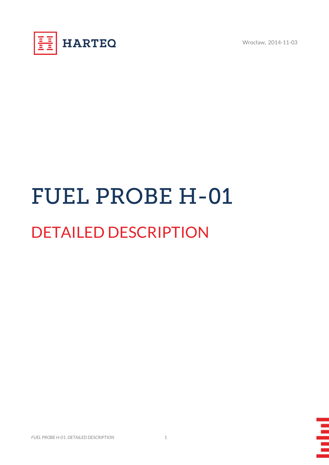

# **FUEL PROBE H-01** DETAILED DESCRIPTION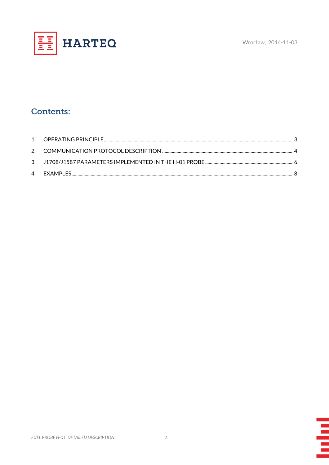

## **Contents:**

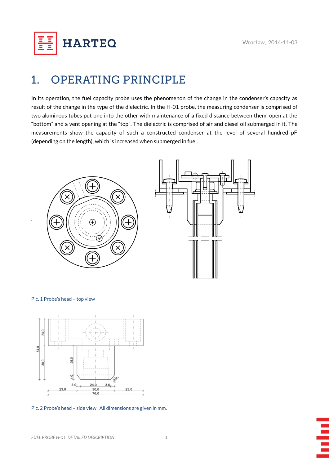**HARTEQ** 

## <span id="page-2-0"></span>**OPERATING PRINCIPLE**  $1.$

In its operation, the fuel capacity probe uses the phenomenon of the change in the condenser's capacity as result of the change in the type of the dielectric. In the H-01 probe, the measuring condenser is comprised of two aluminous tubes put one into the other with maintenance of a fixed distance between them, open at the "bottom" and a vent opening at the "top". The dielectric is comprised of air and diesel oil submerged in it. The measurements show the capacity of such a constructed condenser at the level of several hundred pF (depending on the length), which is increased when submerged in fuel.



Pic. 1 Probe's head – top view



Pic. 2 Probe's head – side view . All dimensions are given in mm.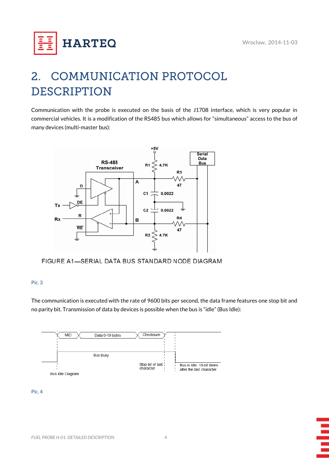

## <span id="page-3-0"></span>**COMMUNICATION PROTOCOL**  $\mathbf{2}$ **DESCRIPTION**

Communication with the probe is executed on the basis of the J1708 interface, which is very popular in commercial vehicles. It is a modification of the RS485 bus which allows for "simultaneous" access to the bus of many devices (multi-master bus):



FIGURE A1-SERIAL DATA BUS STANDARD NODE DIAGRAM

## Pic. 3

The communication is executed with the rate of 9600 bits per second, the data frame features one stop bit and no parity bit. Transmission of data by devices is possible when the bus is "idle" (Bus Idle):



### Pic. 4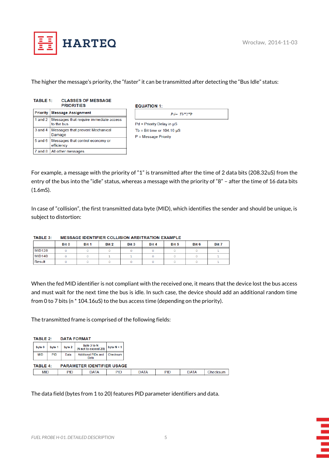

The higher the message's priority, the "faster" it can be transmitted after detecting the "Bus Idle" status:

| <b>TABLE 1:</b> | <b>CLASSES OF MESSAGE</b><br><b>PRIORITIES</b> |
|-----------------|------------------------------------------------|
|                 |                                                |

| Priority Message Assignment                                    |
|----------------------------------------------------------------|
| 1 and 2   Messages that require immediate access<br>to the bus |
| 3 and 4   Messages that prevent Mechanical<br>Damage           |
| 5 and 6   Messages that control economy or<br>efficiency       |
| 7 and 8   All other messages                                   |

| <b>EQUATION 1:</b>               |  |  |  |  |  |  |  |
|----------------------------------|--|--|--|--|--|--|--|
| $Pd = Tb*2*P$                    |  |  |  |  |  |  |  |
| $Pd =$ Priority Delay in $\mu S$ |  |  |  |  |  |  |  |
| Tb = Bit time or $104.16 \mu S$  |  |  |  |  |  |  |  |
| $P = Message Priority$           |  |  |  |  |  |  |  |
|                                  |  |  |  |  |  |  |  |

For example, a message with the priority of "1" is transmitted after the time of 2 data bits (208.32uS) from the entry of the bus into the "idle" status, whereas a message with the priority of "8" – after the time of 16 data bits (1.6mS).

In case of "collision", the first transmitted data byte (MID), which identifies the sender and should be unique, is subject to distortion:

|               | Bit 0 | Bit 1 | Bit 2 | Bit 3 | Bit 4 | Bit 5 | Bit 6 | Bit 7 |
|---------------|-------|-------|-------|-------|-------|-------|-------|-------|
| <b>MID128</b> |       |       |       |       |       |       |       |       |
| <b>MID140</b> |       |       |       |       |       |       |       |       |
| Result        |       |       |       |       |       |       |       |       |

#### TABLE 3: MESSAGE IDENTIFIER COLLISION ARBITRATION EXAMPLE

When the fed MID identifier is not compliant with the received one, it means that the device lost the bus access and must wait for the next time the bus is idle. In such case, the device should add an additional random time from 0 to 7 bits (n \* 104.16uS) to the bus access time (depending on the priority).

The transmitted frame is comprised of the following fields:

| <b>TABLE 2:</b><br><b>DATA FORMAT</b> |                                                      |        |                                     |              |             |            |             |          |  |  |  |  |
|---------------------------------------|------------------------------------------------------|--------|-------------------------------------|--------------|-------------|------------|-------------|----------|--|--|--|--|
| byte 0<br>byte 1                      |                                                      | byte 2 | byte 3 to N<br>(N not to exceed 20) | byte $N + 1$ |             |            |             |          |  |  |  |  |
| <b>MID</b>                            | PID                                                  | Data   | Additional PIDs and<br>Data         | Checksum     |             |            |             |          |  |  |  |  |
|                                       | <b>PARAMETER IDENTIFIER USAGE</b><br><b>TABLE 4:</b> |        |                                     |              |             |            |             |          |  |  |  |  |
| MID                                   |                                                      | PID    | <b>DATA</b>                         | PID          | <b>DATA</b> | <b>PID</b> | <b>DATA</b> | Checksum |  |  |  |  |

The data field (bytes from 1 to 20) features PID parameter identifiers and data.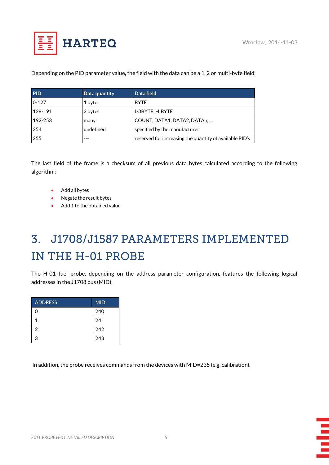

## Depending on the PID parameter value, the field with the data can be a 1, 2 or multi-byte field:

| <b>PID</b> | Data quantity | Data field                                              |
|------------|---------------|---------------------------------------------------------|
| $0 - 127$  | 1 byte        | <b>BYTE</b>                                             |
| 128-191    | 2 bytes       | LOBYTE, HIBYTE                                          |
| 192-253    | many          | COUNT, DATA1, DATA2, DATAn,                             |
| 254        | undefined     | specified by the manufacturer                           |
| 255        |               | reserved for increasing the quantity of available PID's |

The last field of the frame is a checksum of all previous data bytes calculated according to the following algorithm:

- Add all bytes
- Negate the result bytes
- Add 1 to the obtained value

## <span id="page-5-0"></span>3. J1708/J1587 PARAMETERS IMPLEMENTED IN THE H-01 PROBE

The H-01 fuel probe, depending on the address parameter configuration, features the following logical addresses in the J1708 bus (MID):

| <b>ADDRESS</b> | <b>MID</b> |
|----------------|------------|
| 0              | 240        |
| 1              | 241        |
| $\mathfrak{p}$ | 242        |
| 3              | 243        |

In addition, the probe receives commands from the devices with MID=235 (e.g. calibration).

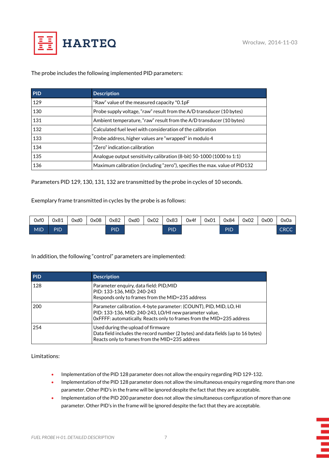Ξ



The probe includes the following implemented PID parameters:

| <b>PID</b> | <b>Description</b>                                                         |
|------------|----------------------------------------------------------------------------|
| 129        | "Raw" value of the measured capacity *0.1pF                                |
| 130        | Probe supply voltage, "raw" result from the A/D transducer (10 bytes)      |
| 131        | Ambient temperature, "raw" result from the A/D transducer (10 bytes)       |
| 132        | Calculated fuel level with consideration of the calibration                |
| 133        | Probe address, higher values are "wrapped" in modulo 4                     |
| 134        | "Zero" indication calibration                                              |
| 135        | Analogue output sensitivity calibration (8-bit) 50-1000 (1000 to 1:1)      |
| 136        | Maximum calibration (including "zero"), specifies the max. value of PID132 |

Parameters PID 129, 130, 131, 132 are transmitted by the probe in cycles of 10 seconds.

Exemplary frame transmitted in cycles by the probe is as follows:

| 0xf0       | 0x81 | 0xd0 | 0x08 | 0x82 | 0xd0 | 0x02 | 0x83 | 0x4f | 0x01 | 0x84 | 0x02 | 0x00 | 0x0a        |
|------------|------|------|------|------|------|------|------|------|------|------|------|------|-------------|
| <b>MID</b> | PID  |      |      | PID  |      |      | PID  |      |      | PID  |      |      | <b>CRCC</b> |

## In addition, the following "control" parameters are implemented:

| <b>PID</b> | <b>Description</b>                                                                                                                                                                                    |
|------------|-------------------------------------------------------------------------------------------------------------------------------------------------------------------------------------------------------|
| 128        | Parameter enguiry, data field: PID, MID<br>PID: 133-136, MID: 240-243<br>Responds only to frames from the MID=235 address                                                                             |
| 200        | Parameter calibration. 4-byte parameter: (COUNT), PID, MID, LO, HI<br>PID: 133-136, MID: 240-243, LO/HI new parameter value,<br>OxFFFF: automatically. Reacts only to frames from the MID=235 address |
| 254        | Used during the upload of firmware<br>Data field includes the record number (2 bytes) and data fields (up to 16 bytes)<br>Reacts only to frames from the MID=235 address                              |

Limitations:

- Implementation of the PID 128 parameter does not allow the enquiry regarding PID 129-132.
- Implementation of the PID 128 parameter does not allow the simultaneous enquiry regarding more than one parameter. Other PID's in the frame will be ignored despite the fact that they are acceptable.
- Implementation of the PID 200 parameter does not allow the simultaneous configuration of more than one parameter. Other PID's in the frame will be ignored despite the fact that they are acceptable.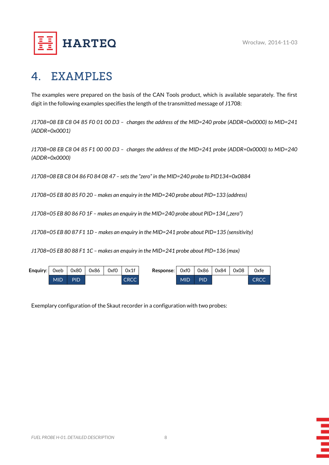

## <span id="page-7-0"></span>**EXAMPLES**  $\blacktriangle$

The examples were prepared on the basis of the CAN Tools product, which is available separately. The first digit in the following examples specifies the length of the transmitted message of J1708:

*J1708=08 EB C8 04 85 F0 01 00 D3 – changes the address of the MID=240 probe (ADDR=0x0000) to MID=241 (ADDR=0x0001)*

*J1708=08 EB C8 04 85 F1 00 00 D3 – changes the address of the MID=241 probe (ADDR=0x0000) to MID=240 (ADDR=0x0000)*

*J1708=08 EB C8 04 86 F0 84 08 47 – sets the "zero" in the MID=240 probe to PID134=0x0884*

*J1708=05 EB 80 85 F0 20 – makes an enquiry in the MID=240 probe about PID=133 (address)*

*J1708=05 EB 80 86 F0 1F – makes an enquiry in the MID=240 probe about PID=134 ("zero")*

*J1708=05 EB 80 87 F1 1D – makes an enquiry in the MID=241 probe about PID=135 (sensitivity)*

*J1708=05 EB 80 88 F1 1C – makes an enquiry in the MID=241 probe about PID=136 (max)*

| Enquiry: Oxeb |            | 0x80       | 0x86 | 0xf0 | 0x1f        | Response: | 0xf0       | 0x86 l | 0x84 | 0x08 | 0xfe        |
|---------------|------------|------------|------|------|-------------|-----------|------------|--------|------|------|-------------|
|               | <b>MID</b> | <b>PID</b> |      |      | <b>CRCC</b> |           | <b>MID</b> | PID    |      |      | <b>CRCC</b> |

Exemplary configuration of the Skaut recorder in a configuration with two probes: